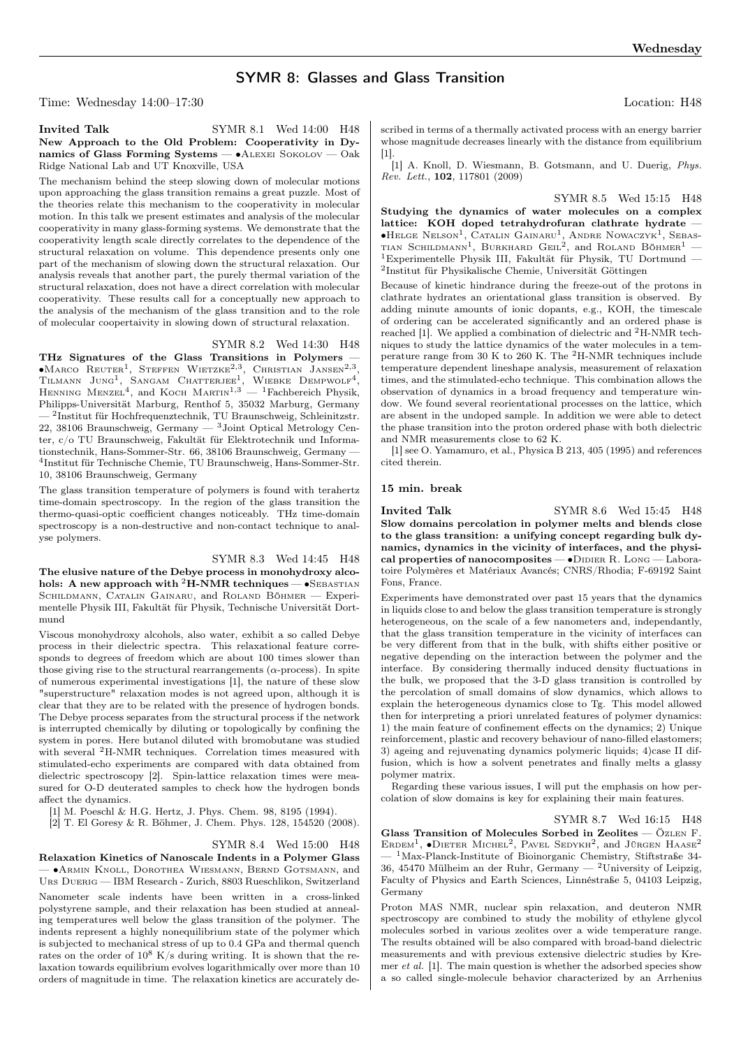# SYMR 8: Glasses and Glass Transition

Time: Wednesday 14:00–17:30 Location: H48

# Invited Talk SYMR 8.1 Wed 14:00 H48 New Approach to the Old Problem: Cooperativity in Dynamics of Glass Forming Systems — ∙Alexei Sokolov — Oak Ridge National Lab and UT Knoxville, USA

The mechanism behind the steep slowing down of molecular motions upon approaching the glass transition remains a great puzzle. Most of the theories relate this mechanism to the cooperativity in molecular motion. In this talk we present estimates and analysis of the molecular cooperativity in many glass-forming systems. We demonstrate that the cooperativity length scale directly correlates to the dependence of the structural relaxation on volume. This dependence presents only one part of the mechanism of slowing down the structural relaxation. Our analysis reveals that another part, the purely thermal variation of the structural relaxation, does not have a direct correlation with molecular cooperativity. These results call for a conceptually new approach to the analysis of the mechanism of the glass transition and to the role of molecular coopertaivity in slowing down of structural relaxation.

#### SYMR 8.2 Wed 14:30 H48

THz Signatures of the Glass Transitions in Polymers — ∙Marco Reuter<sup>1</sup> , Steffen Wietzke2,<sup>3</sup> , Christian Jansen2,<sup>3</sup> , TILMANN JUNG<sup>1</sup>, SANGAM CHATTERJEE<sup>1</sup>, WIEBKE DEMPWOLF<sup>4</sup>, HENNING MENZEL<sup>4</sup>, and KOCH MARTIN<sup>1,3</sup> — <sup>1</sup>Fachbereich Physik, Philipps-Universität Marburg, Renthof 5, 35032 Marburg, Germany — <sup>2</sup> Institut für Hochfrequenztechnik, TU Braunschweig, Schleinitzstr. 22, 38106 Braunschweig, Germany — <sup>3</sup>Joint Optical Metrology Center, c/o TU Braunschweig, Fakultät für Elektrotechnik und Informationstechnik, Hans-Sommer-Str. 66, 38106 Braunschweig, Germany — 4 Institut für Technische Chemie, TU Braunschweig, Hans-Sommer-Str. 10, 38106 Braunschweig, Germany

The glass transition temperature of polymers is found with terahertz time-domain spectroscopy. In the region of the glass transition the thermo-quasi-optic coefficient changes noticeably. THz time-domain spectroscopy is a non-destructive and non-contact technique to analyse polymers.

# SYMR 8.3 Wed 14:45 H48

The elusive nature of the Debye process in monohydroxy alcohols: A new approach with <sup>2</sup>H-NMR techniques — • SEBASTIAN Schildmann, Catalin Gainaru, and Roland Böhmer — Experimentelle Physik III, Fakultät für Physik, Technische Universität Dortmund

Viscous monohydroxy alcohols, also water, exhibit a so called Debye process in their dielectric spectra. This relaxational feature corresponds to degrees of freedom which are about 100 times slower than those giving rise to the structural rearrangements ( $\alpha$ -process). In spite of numerous experimental investigations [1], the nature of these slow "superstructure" relaxation modes is not agreed upon, although it is clear that they are to be related with the presence of hydrogen bonds. The Debye process separates from the structural process if the network is interrupted chemically by diluting or topologically by confining the system in pores. Here butanol diluted with bromobutane was studied with several <sup>2</sup>H-NMR techniques. Correlation times measured with stimulated-echo experiments are compared with data obtained from dielectric spectroscopy [2]. Spin-lattice relaxation times were measured for O-D deuterated samples to check how the hydrogen bonds affect the dynamics.

[1] M. Poeschl & H.G. Hertz, J. Phys. Chem. 98, 8195 (1994).

[2] T. El Goresy & R. Böhmer, J. Chem. Phys. 128, 154520 (2008).

#### SYMR 8.4 Wed 15:00 H48

Relaxation Kinetics of Nanoscale Indents in a Polymer Glass — ∙Armin Knoll, Dorothea Wiesmann, Bernd Gotsmann, and Urs Duerig — IBM Research - Zurich, 8803 Rueschlikon, Switzerland Nanometer scale indents have been written in a cross-linked polystyrene sample, and their relaxation has been studied at annealing temperatures well below the glass transition of the polymer. The indents represent a highly nonequilibrium state of the polymer which is subjected to mechanical stress of up to 0.4 GPa and thermal quench rates on the order of  $10^8$  K/s during writing. It is shown that the relaxation towards equilibrium evolves logarithmically over more than 10 orders of magnitude in time. The relaxation kinetics are accurately described in terms of a thermally activated process with an energy barrier whose magnitude decreases linearly with the distance from equilibrium [1].

[1] A. Knoll, D. Wiesmann, B. Gotsmann, and U. Duerig, Phys. Rev. Lett., 102, 117801 (2009)

SYMR 8.5 Wed 15:15 H48 Studying the dynamics of water molecules on a complex lattice: KOH doped tetrahydrofuran clathrate hydrate -∙Helge Nelson<sup>1</sup> , Catalin Gainaru<sup>1</sup> , Andre Nowaczyk<sup>1</sup> , Sebas-TIAN SCHILDMANN<sup>1</sup>, BURKHARD GEIL<sup>2</sup>, and ROLAND BÖHMER<sup>1</sup> -<sup>1</sup>Experimentelle Physik III, Fakultät für Physik, TU Dortmund — 2 Institut für Physikalische Chemie, Universität Göttingen

Because of kinetic hindrance during the freeze-out of the protons in clathrate hydrates an orientational glass transition is observed. By adding minute amounts of ionic dopants, e.g., KOH, the timescale of ordering can be accelerated significantly and an ordered phase is reached [1]. We applied a combination of dielectric and <sup>2</sup>H-NMR techniques to study the lattice dynamics of the water molecules in a temperature range from 30 K to 260 K. The <sup>2</sup>H-NMR techniques include temperature dependent lineshape analysis, measurement of relaxation times, and the stimulated-echo technique. This combination allows the observation of dynamics in a broad frequency and temperature window. We found several reorientational processes on the lattice, which are absent in the undoped sample. In addition we were able to detect the phase transition into the proton ordered phase with both dielectric and NMR measurements close to 62 K.

[1] see O. Yamamuro, et al., Physica B 213, 405 (1995) and references cited therein.

#### 15 min. break

Invited Talk SYMR 8.6 Wed 15:45 H48 Slow domains percolation in polymer melts and blends close to the glass transition: a unifying concept regarding bulk dynamics, dynamics in the vicinity of interfaces, and the physical properties of nanocomposites —  $\bullet$ DIDIER R. Long — Laboratoire Polymères et Matériaux Avancés; CNRS/Rhodia; F-69192 Saint Fons, France.

Experiments have demonstrated over past 15 years that the dynamics in liquids close to and below the glass transition temperature is strongly heterogeneous, on the scale of a few nanometers and, independantly, that the glass transition temperature in the vicinity of interfaces can be very different from that in the bulk, with shifts either positive or negative depending on the interaction between the polymer and the interface. By considering thermally induced density fluctuations in the bulk, we proposed that the 3-D glass transition is controlled by the percolation of small domains of slow dynamics, which allows to explain the heterogeneous dynamics close to Tg. This model allowed then for interpreting a priori unrelated features of polymer dynamics: 1) the main feature of confinement effects on the dynamics; 2) Unique reinforcement, plastic and recovery behaviour of nano-filled elastomers; 3) ageing and rejuvenating dynamics polymeric liquids; 4)case II diffusion, which is how a solvent penetrates and finally melts a glassy polymer matrix.

Regarding these various issues, I will put the emphasis on how percolation of slow domains is key for explaining their main features.

SYMR 8.7 Wed 16:15 H48 Glass Transition of Molecules Sorbed in Zeolites - ÖZLEN F. ERDEM<sup>1</sup>,  $\bullet$ DIETER MICHEL<sup>2</sup>, PAVEL SEDYKH<sup>2</sup>, and JÜRGEN HAASE<sup>2</sup>  $-$ <sup>1</sup>Max-Planck-Institute of Bioinorganic Chemistry, Stiftstraße 34-36, 45470 Mülheim an der Ruhr, Germany — <sup>2</sup>University of Leipzig, Faculty of Physics and Earth Sciences, Linnéstraße 5, 04103 Leipzig, Germany

Proton MAS NMR, nuclear spin relaxation, and deuteron NMR spectroscopy are combined to study the mobility of ethylene glycol molecules sorbed in various zeolites over a wide temperature range. The results obtained will be also compared with broad-band dielectric measurements and with previous extensive dielectric studies by Kremer *et al.* [1]. The main question is whether the adsorbed species show a so called single-molecule behavior characterized by an Arrhenius